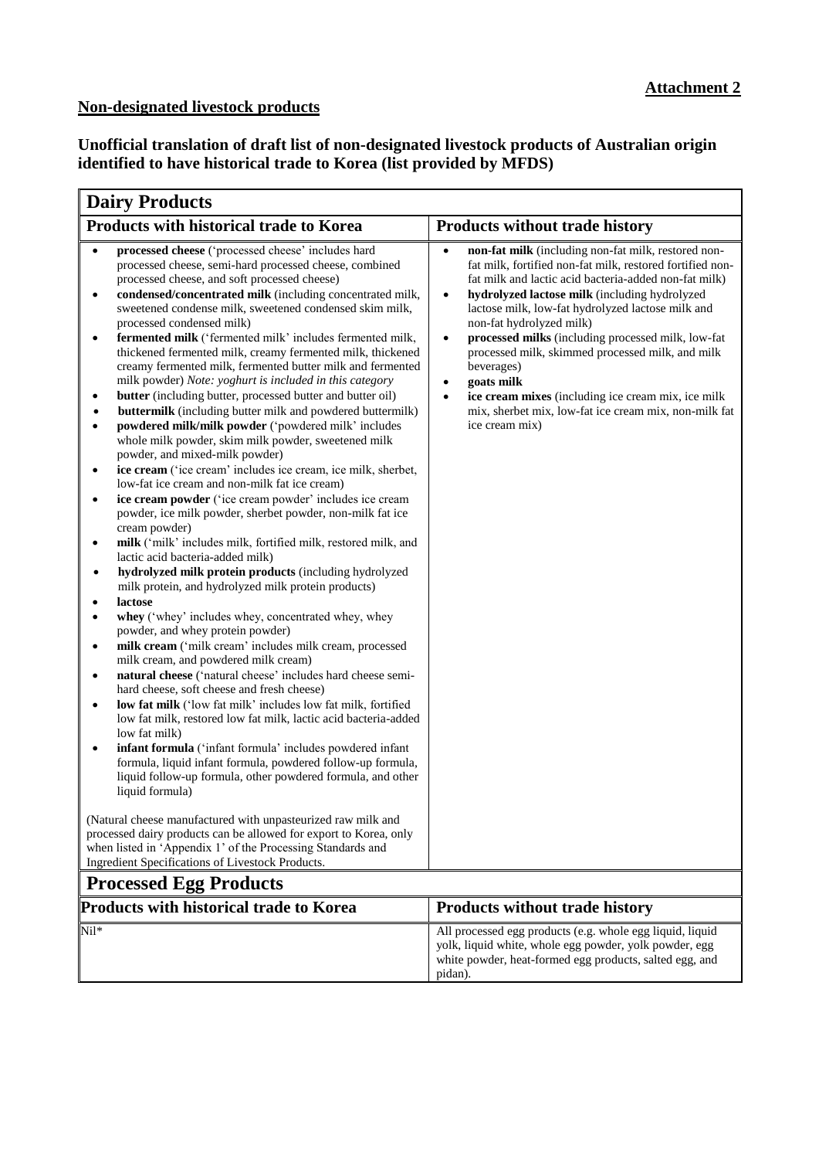## **Non-designated livestock products**

**Unofficial translation of draft list of non-designated livestock products of Australian origin identified to have historical trade to Korea (list provided by MFDS)**

| <b>Dairy Products</b>                                                                                                                                                                                                                                                                                                                                                                                                                                                                                                                                                                                                                                                                                                                                                                                                                                                                                                                                                                                                                                                                                                                                                                                                                                                                                                                                                                                                                                                                                                                                                                                                                                                                                                                                                                                                                                                                                                                                                                                                                                                                                                                                                                                                                                                                                                                                                                                                                                                                       |                                                                                                                                                                                                                                                                                                                                                                                                                                                                                                                                                                                                                                                     |
|---------------------------------------------------------------------------------------------------------------------------------------------------------------------------------------------------------------------------------------------------------------------------------------------------------------------------------------------------------------------------------------------------------------------------------------------------------------------------------------------------------------------------------------------------------------------------------------------------------------------------------------------------------------------------------------------------------------------------------------------------------------------------------------------------------------------------------------------------------------------------------------------------------------------------------------------------------------------------------------------------------------------------------------------------------------------------------------------------------------------------------------------------------------------------------------------------------------------------------------------------------------------------------------------------------------------------------------------------------------------------------------------------------------------------------------------------------------------------------------------------------------------------------------------------------------------------------------------------------------------------------------------------------------------------------------------------------------------------------------------------------------------------------------------------------------------------------------------------------------------------------------------------------------------------------------------------------------------------------------------------------------------------------------------------------------------------------------------------------------------------------------------------------------------------------------------------------------------------------------------------------------------------------------------------------------------------------------------------------------------------------------------------------------------------------------------------------------------------------------------|-----------------------------------------------------------------------------------------------------------------------------------------------------------------------------------------------------------------------------------------------------------------------------------------------------------------------------------------------------------------------------------------------------------------------------------------------------------------------------------------------------------------------------------------------------------------------------------------------------------------------------------------------------|
| Products with historical trade to Korea                                                                                                                                                                                                                                                                                                                                                                                                                                                                                                                                                                                                                                                                                                                                                                                                                                                                                                                                                                                                                                                                                                                                                                                                                                                                                                                                                                                                                                                                                                                                                                                                                                                                                                                                                                                                                                                                                                                                                                                                                                                                                                                                                                                                                                                                                                                                                                                                                                                     | <b>Products without trade history</b>                                                                                                                                                                                                                                                                                                                                                                                                                                                                                                                                                                                                               |
| processed cheese ('processed cheese' includes hard<br>$\bullet$<br>processed cheese, semi-hard processed cheese, combined<br>processed cheese, and soft processed cheese)<br>condensed/concentrated milk (including concentrated milk,<br>$\bullet$<br>sweetened condense milk, sweetened condensed skim milk,<br>processed condensed milk)<br>fermented milk ('fermented milk' includes fermented milk,<br>$\bullet$<br>thickened fermented milk, creamy fermented milk, thickened<br>creamy fermented milk, fermented butter milk and fermented<br>milk powder) Note: yoghurt is included in this category<br>butter (including butter, processed butter and butter oil)<br>٠<br>buttermilk (including butter milk and powdered buttermilk)<br>powdered milk/milk powder ('powdered milk' includes<br>$\bullet$<br>whole milk powder, skim milk powder, sweetened milk<br>powder, and mixed-milk powder)<br>ice cream ('ice cream' includes ice cream, ice milk, sherbet,<br>$\bullet$<br>low-fat ice cream and non-milk fat ice cream)<br>ice cream powder ('ice cream powder' includes ice cream<br>$\bullet$<br>powder, ice milk powder, sherbet powder, non-milk fat ice<br>cream powder)<br>milk ('milk' includes milk, fortified milk, restored milk, and<br>٠<br>lactic acid bacteria-added milk)<br>hydrolyzed milk protein products (including hydrolyzed<br>$\bullet$<br>milk protein, and hydrolyzed milk protein products)<br>lactose<br>whey ('whey' includes whey, concentrated whey, whey<br>$\bullet$<br>powder, and whey protein powder)<br>milk cream ('milk cream' includes milk cream, processed<br>$\bullet$<br>milk cream, and powdered milk cream)<br>natural cheese ('natural cheese' includes hard cheese semi-<br>$\bullet$<br>hard cheese, soft cheese and fresh cheese)<br>low fat milk ('low fat milk' includes low fat milk, fortified<br>$\bullet$<br>low fat milk, restored low fat milk, lactic acid bacteria-added<br>low fat milk)<br>infant formula ('infant formula' includes powdered infant<br>$\bullet$<br>formula, liquid infant formula, powdered follow-up formula,<br>liquid follow-up formula, other powdered formula, and other<br>liquid formula)<br>(Natural cheese manufactured with unpasteurized raw milk and<br>processed dairy products can be allowed for export to Korea, only<br>when listed in 'Appendix 1' of the Processing Standards and<br>Ingredient Specifications of Livestock Products.<br><b>Processed Egg Products</b> | non-fat milk (including non-fat milk, restored non-<br>$\bullet$<br>fat milk, fortified non-fat milk, restored fortified non-<br>fat milk and lactic acid bacteria-added non-fat milk)<br>hydrolyzed lactose milk (including hydrolyzed<br>$\bullet$<br>lactose milk, low-fat hydrolyzed lactose milk and<br>non-fat hydrolyzed milk)<br>processed milks (including processed milk, low-fat<br>$\bullet$<br>processed milk, skimmed processed milk, and milk<br>beverages)<br>goats milk<br>$\bullet$<br>ice cream mixes (including ice cream mix, ice milk<br>$\bullet$<br>mix, sherbet mix, low-fat ice cream mix, non-milk fat<br>ice cream mix) |
| <b>Products with historical trade to Korea</b>                                                                                                                                                                                                                                                                                                                                                                                                                                                                                                                                                                                                                                                                                                                                                                                                                                                                                                                                                                                                                                                                                                                                                                                                                                                                                                                                                                                                                                                                                                                                                                                                                                                                                                                                                                                                                                                                                                                                                                                                                                                                                                                                                                                                                                                                                                                                                                                                                                              | <b>Products without trade history</b>                                                                                                                                                                                                                                                                                                                                                                                                                                                                                                                                                                                                               |
| Nil*                                                                                                                                                                                                                                                                                                                                                                                                                                                                                                                                                                                                                                                                                                                                                                                                                                                                                                                                                                                                                                                                                                                                                                                                                                                                                                                                                                                                                                                                                                                                                                                                                                                                                                                                                                                                                                                                                                                                                                                                                                                                                                                                                                                                                                                                                                                                                                                                                                                                                        | All processed egg products (e.g. whole egg liquid, liquid<br>yolk, liquid white, whole egg powder, yolk powder, egg<br>white powder, heat-formed egg products, salted egg, and<br>pidan).                                                                                                                                                                                                                                                                                                                                                                                                                                                           |